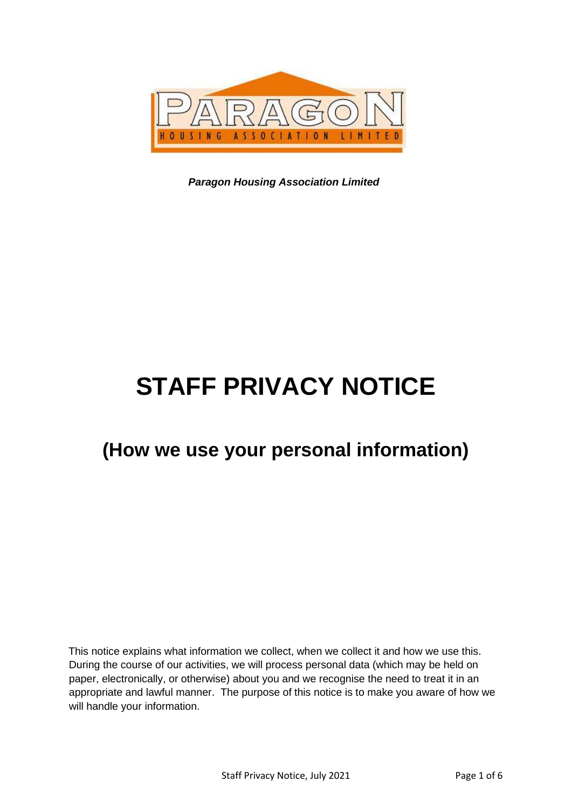

*Paragon Housing Association Limited*

# **STAFF PRIVACY NOTICE**

## **(How we use your personal information)**

This notice explains what information we collect, when we collect it and how we use this. During the course of our activities, we will process personal data (which may be held on paper, electronically, or otherwise) about you and we recognise the need to treat it in an appropriate and lawful manner. The purpose of this notice is to make you aware of how we will handle your information.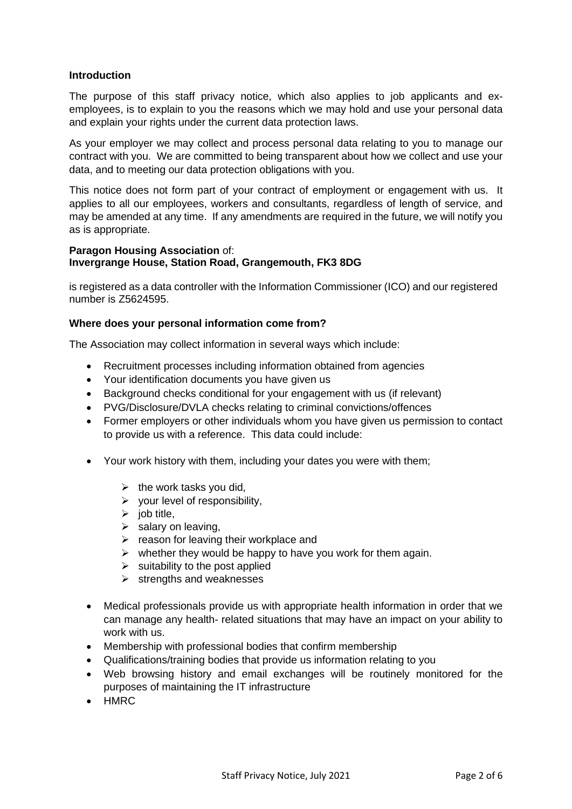#### **Introduction**

The purpose of this staff privacy notice, which also applies to job applicants and exemployees, is to explain to you the reasons which we may hold and use your personal data and explain your rights under the current data protection laws.

As your employer we may collect and process personal data relating to you to manage our contract with you. We are committed to being transparent about how we collect and use your data, and to meeting our data protection obligations with you.

This notice does not form part of your contract of employment or engagement with us. It applies to all our employees, workers and consultants, regardless of length of service, and may be amended at any time. If any amendments are required in the future, we will notify you as is appropriate.

#### **Paragon Housing Association** of: **Invergrange House, Station Road, Grangemouth, FK3 8DG**

is registered as a data controller with the Information Commissioner (ICO) and our registered number is Z5624595.

#### **Where does your personal information come from?**

The Association may collect information in several ways which include:

- Recruitment processes including information obtained from agencies
- Your identification documents you have given us
- Background checks conditional for your engagement with us (if relevant)
- PVG/Disclosure/DVLA checks relating to criminal convictions/offences
- Former employers or other individuals whom you have given us permission to contact to provide us with a reference. This data could include:
- Your work history with them, including your dates you were with them;
	- $\triangleright$  the work tasks you did,
	- $\triangleright$  your level of responsibility,
	- $\triangleright$  iob title.
	- $\triangleright$  salary on leaving,
	- $\triangleright$  reason for leaving their workplace and
	- $\triangleright$  whether they would be happy to have you work for them again.
	- $\triangleright$  suitability to the post applied
	- $\triangleright$  strengths and weaknesses
- Medical professionals provide us with appropriate health information in order that we can manage any health- related situations that may have an impact on your ability to work with us.
- Membership with professional bodies that confirm membership
- Qualifications/training bodies that provide us information relating to you
- Web browsing history and email exchanges will be routinely monitored for the purposes of maintaining the IT infrastructure
- HMRC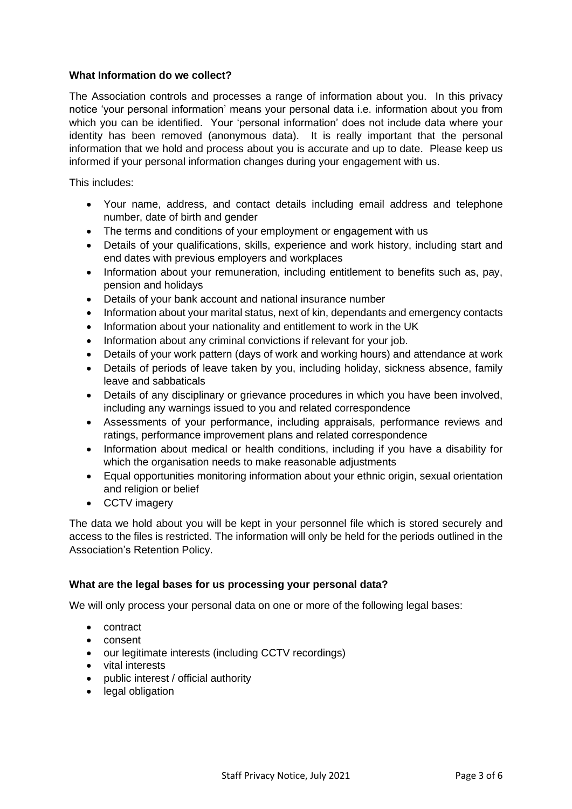#### **What Information do we collect?**

The Association controls and processes a range of information about you. In this privacy notice 'your personal information' means your personal data i.e. information about you from which you can be identified. Your 'personal information' does not include data where your identity has been removed (anonymous data). It is really important that the personal information that we hold and process about you is accurate and up to date. Please keep us informed if your personal information changes during your engagement with us.

This includes:

- Your name, address, and contact details including email address and telephone number, date of birth and gender
- The terms and conditions of your employment or engagement with us
- Details of your qualifications, skills, experience and work history, including start and end dates with previous employers and workplaces
- Information about your remuneration, including entitlement to benefits such as, pay, pension and holidays
- Details of your bank account and national insurance number
- Information about your marital status, next of kin, dependants and emergency contacts
- Information about your nationality and entitlement to work in the UK
- Information about any criminal convictions if relevant for your job.
- Details of your work pattern (days of work and working hours) and attendance at work
- Details of periods of leave taken by you, including holiday, sickness absence, family leave and sabbaticals
- Details of any disciplinary or grievance procedures in which you have been involved. including any warnings issued to you and related correspondence
- Assessments of your performance, including appraisals, performance reviews and ratings, performance improvement plans and related correspondence
- Information about medical or health conditions, including if you have a disability for which the organisation needs to make reasonable adjustments
- Equal opportunities monitoring information about your ethnic origin, sexual orientation and religion or belief
- CCTV imagery

The data we hold about you will be kept in your personnel file which is stored securely and access to the files is restricted. The information will only be held for the periods outlined in the Association's Retention Policy.

#### **What are the legal bases for us processing your personal data?**

We will only process your personal data on one or more of the following legal bases:

- contract
- consent
- our legitimate interests (including CCTV recordings)
- vital interests
- public interest / official authority
- legal obligation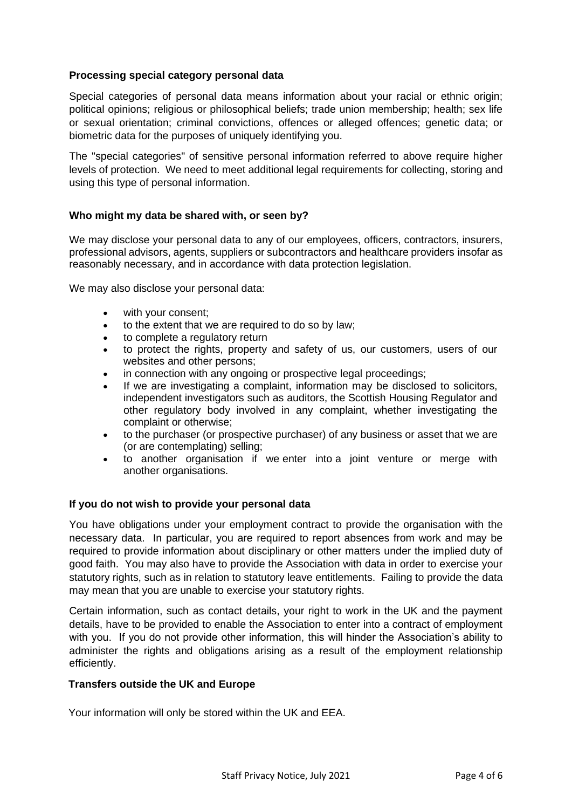#### **Processing special category personal data**

Special categories of personal data means information about your racial or ethnic origin; political opinions; religious or philosophical beliefs; trade union membership; health; sex life or sexual orientation; criminal convictions, offences or alleged offences; genetic data; or biometric data for the purposes of uniquely identifying you.

The "special categories" of sensitive personal information referred to above require higher levels of protection. We need to meet additional legal requirements for collecting, storing and using this type of personal information.

#### **Who might my data be shared with, or seen by?**

We may disclose your personal data to any of our employees, officers, contractors, insurers, professional advisors, agents, suppliers or subcontractors and healthcare providers insofar as reasonably necessary, and in accordance with data protection legislation.

We may also disclose your personal data:

- with your consent:
- to the extent that we are required to do so by law;
- to complete a regulatory return
- to protect the rights, property and safety of us, our customers, users of our websites and other persons;
- in connection with any ongoing or prospective legal proceedings;
- If we are investigating a complaint, information may be disclosed to solicitors, independent investigators such as auditors, the Scottish Housing Regulator and other regulatory body involved in any complaint, whether investigating the complaint or otherwise;
- to the purchaser (or prospective purchaser) of any business or asset that we are (or are contemplating) selling;
- to another organisation if we enter into a joint venture or merge with another organisations.

#### **If you do not wish to provide your personal data**

You have obligations under your employment contract to provide the organisation with the necessary data. In particular, you are required to report absences from work and may be required to provide information about disciplinary or other matters under the implied duty of good faith. You may also have to provide the Association with data in order to exercise your statutory rights, such as in relation to statutory leave entitlements. Failing to provide the data may mean that you are unable to exercise your statutory rights.

Certain information, such as contact details, your right to work in the UK and the payment details, have to be provided to enable the Association to enter into a contract of employment with you. If you do not provide other information, this will hinder the Association's ability to administer the rights and obligations arising as a result of the employment relationship efficiently.

#### **Transfers outside the UK and Europe**

Your information will only be stored within the UK and EEA.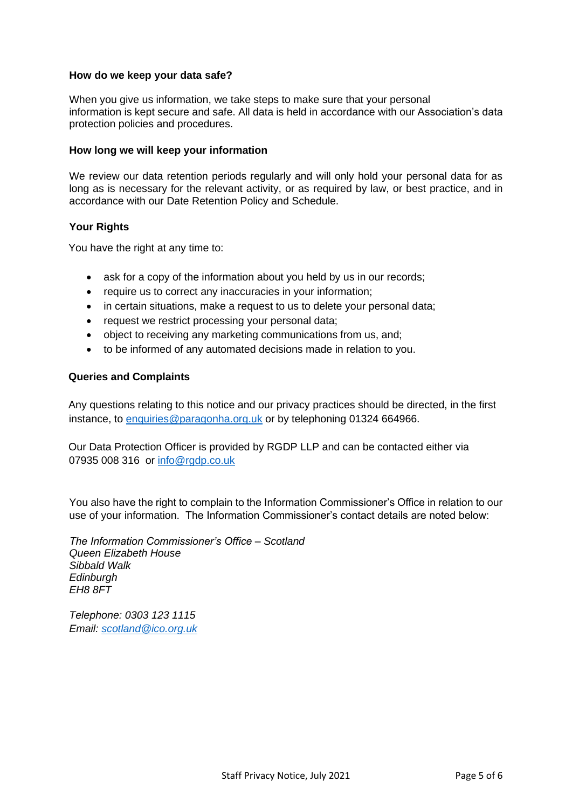#### **How do we keep your data safe?**

When you give us information, we take steps to make sure that your personal information is kept secure and safe. All data is held in accordance with our Association's data protection policies and procedures.

#### **How long we will keep your information**

We review our data retention periods regularly and will only hold your personal data for as long as is necessary for the relevant activity, or as required by law, or best practice, and in accordance with our Date Retention Policy and Schedule.

#### **Your Rights**

You have the right at any time to:

- ask for a copy of the information about you held by us in our records;
- require us to correct any inaccuracies in your information;
- in certain situations, make a request to us to delete your personal data;
- request we restrict processing your personal data;
- object to receiving any marketing communications from us, and;
- to be informed of any automated decisions made in relation to you.

#### **Queries and Complaints**

Any questions relating to this notice and our privacy practices should be directed, in the first instance, to [enquiries@paragonha.org.uk](mailto:enquiries@paragonha.org.uk) or by telephoning 01324 664966.

Our Data Protection Officer is provided by RGDP LLP and can be contacted either via 07935 008 316 or [info@rgdp.co.uk](mailto:info@rgdp.co.uk)

You also have the right to complain to the Information Commissioner's Office in relation to our use of your information. The Information Commissioner's contact details are noted below:

*The Information Commissioner's Office – Scotland Queen Elizabeth House Sibbald Walk Edinburgh EH8 8FT*

*Telephone: 0303 123 1115 Email: [scotland@ico.org.uk](mailto:scotland@ico.org.uk)*